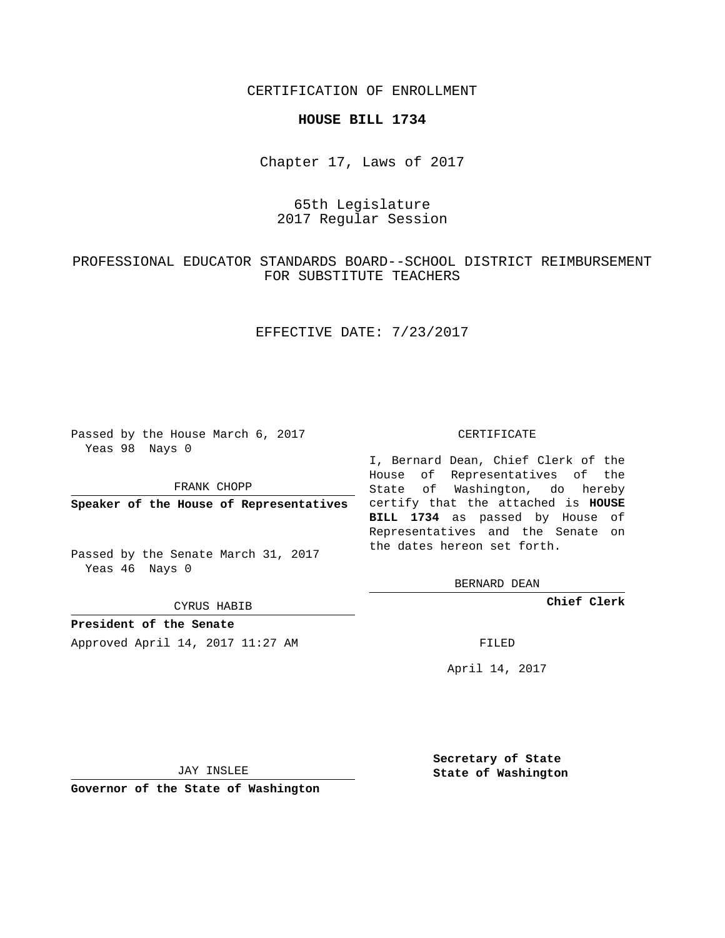CERTIFICATION OF ENROLLMENT

### **HOUSE BILL 1734**

Chapter 17, Laws of 2017

# 65th Legislature 2017 Regular Session

# PROFESSIONAL EDUCATOR STANDARDS BOARD--SCHOOL DISTRICT REIMBURSEMENT FOR SUBSTITUTE TEACHERS

## EFFECTIVE DATE: 7/23/2017

Passed by the House March 6, 2017 Yeas 98 Nays 0

FRANK CHOPP

Passed by the Senate March 31, 2017 Yeas 46 Nays 0

CYRUS HABIB

**President of the Senate**

Approved April 14, 2017 11:27 AM FILED

#### CERTIFICATE

**Speaker of the House of Representatives** certify that the attached is **HOUSE** I, Bernard Dean, Chief Clerk of the House of Representatives of the State of Washington, do hereby **BILL 1734** as passed by House of Representatives and the Senate on the dates hereon set forth.

BERNARD DEAN

**Chief Clerk**

April 14, 2017

JAY INSLEE

**Governor of the State of Washington**

**Secretary of State State of Washington**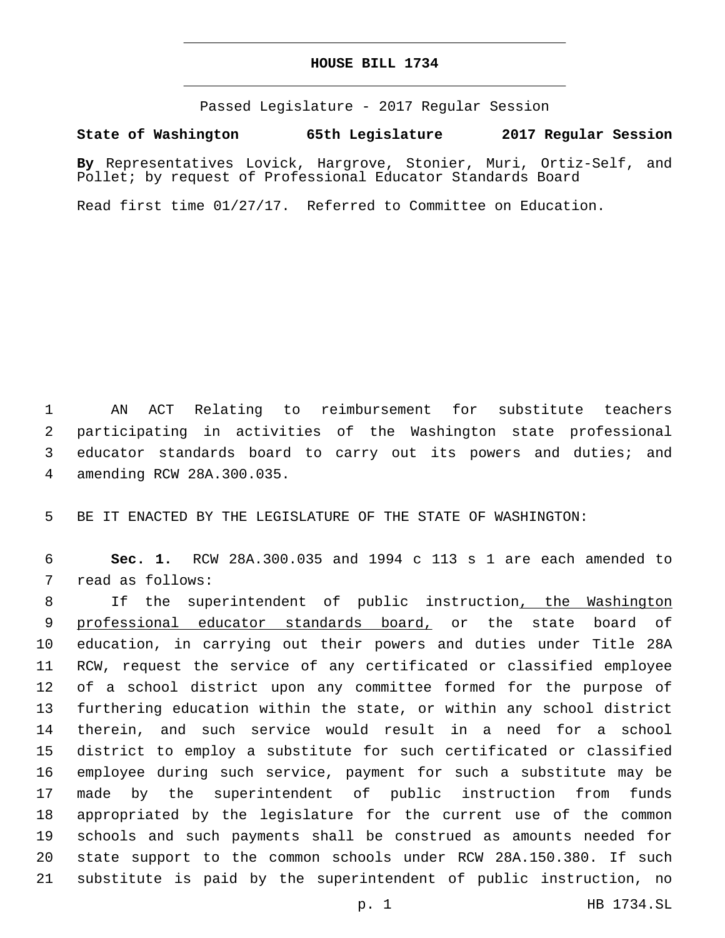## **HOUSE BILL 1734**

Passed Legislature - 2017 Regular Session

**State of Washington 65th Legislature 2017 Regular Session**

**By** Representatives Lovick, Hargrove, Stonier, Muri, Ortiz-Self, and Pollet; by request of Professional Educator Standards Board

Read first time 01/27/17. Referred to Committee on Education.

 AN ACT Relating to reimbursement for substitute teachers participating in activities of the Washington state professional educator standards board to carry out its powers and duties; and amending RCW 28A.300.035.4

BE IT ENACTED BY THE LEGISLATURE OF THE STATE OF WASHINGTON:

 **Sec. 1.** RCW 28A.300.035 and 1994 c 113 s 1 are each amended to 7 read as follows:

8 11 If the superintendent of public instruction, the Washington 9 professional educator standards board, or the state board of education, in carrying out their powers and duties under Title 28A RCW, request the service of any certificated or classified employee of a school district upon any committee formed for the purpose of furthering education within the state, or within any school district therein, and such service would result in a need for a school district to employ a substitute for such certificated or classified employee during such service, payment for such a substitute may be made by the superintendent of public instruction from funds appropriated by the legislature for the current use of the common schools and such payments shall be construed as amounts needed for state support to the common schools under RCW 28A.150.380. If such substitute is paid by the superintendent of public instruction, no